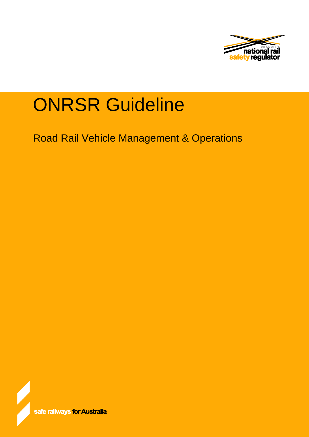

# ONRSR Guideline

Road Rail Vehicle Management & Operations

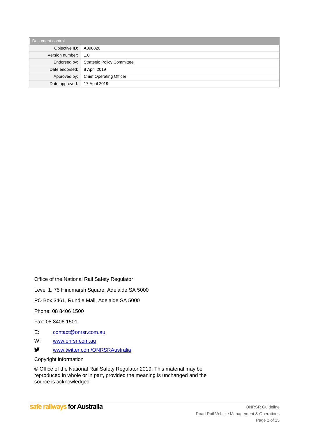| Document control |                                   |  |
|------------------|-----------------------------------|--|
| Objective ID:    | A898820                           |  |
| Version number:  | 1.0                               |  |
| Endorsed by:     | <b>Strategic Policy Committee</b> |  |
| Date endorsed:   | 8 April 2019                      |  |
| Approved by:     | <b>Chief Operating Officer</b>    |  |
| Date approved:   | 17 April 2019                     |  |

Office of the National Rail Safety Regulator

Level 1, 75 Hindmarsh Square, Adelaide SA 5000

PO Box 3461, Rundle Mall, Adelaide SA 5000

Phone: 08 8406 1500

Fax: 08 8406 1501

- E: [contact@onrsr.com.au](mailto:contact@onrsr.com.au)
- W: [www.onrsr.com.au](http://www.onrsr.com.au/)
- y [www.twitter.com/ONRSRAustralia](http://www.twitter.com/ONRSRAustralia)

Copyright information

© Office of the National Rail Safety Regulator 2019. This material may be reproduced in whole or in part, provided the meaning is unchanged and the source is acknowledged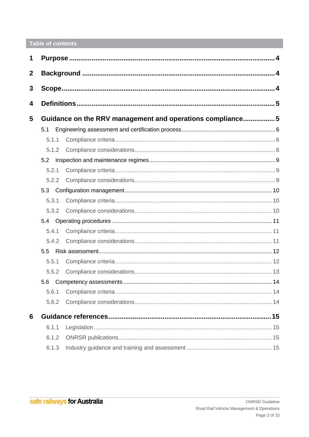# Table of contents

| 1                |       |                                                           |  |
|------------------|-------|-----------------------------------------------------------|--|
| $\boldsymbol{2}$ |       |                                                           |  |
| 3                |       |                                                           |  |
| 4                |       |                                                           |  |
| 5                |       | Guidance on the RRV management and operations compliance5 |  |
|                  | 5.1   |                                                           |  |
|                  | 5.1.1 |                                                           |  |
|                  | 5.1.2 |                                                           |  |
|                  | 5.2   |                                                           |  |
|                  | 5.2.1 |                                                           |  |
|                  | 5.2.2 |                                                           |  |
|                  | 5.3   |                                                           |  |
|                  | 5.3.1 |                                                           |  |
|                  | 5.3.2 |                                                           |  |
|                  |       |                                                           |  |
|                  | 5.4.1 |                                                           |  |
|                  | 5.4.2 |                                                           |  |
|                  | 5.5   |                                                           |  |
|                  | 5.5.1 |                                                           |  |
|                  | 5.5.2 |                                                           |  |
|                  | 5.6   |                                                           |  |
|                  | 5.6.1 |                                                           |  |
|                  | 5.6.2 |                                                           |  |
| 6                |       |                                                           |  |
|                  | 6.1.1 |                                                           |  |
|                  | 6.1.2 |                                                           |  |
|                  | 6.1.3 |                                                           |  |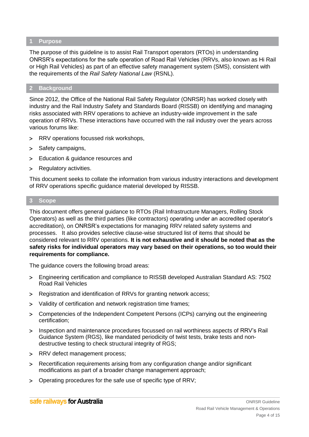#### <span id="page-3-0"></span>**1 Purpose**

The purpose of this guideline is to assist Rail Transport operators (RTOs) in understanding ONRSR's expectations for the safe operation of Road Rail Vehicles (RRVs, also known as Hi Rail or High Rail Vehicles) as part of an effective safety management system (SMS), consistent with the requirements of the *Rail Safety National Law* (RSNL).

## <span id="page-3-1"></span>**2 Background**

Since 2012, the Office of the National Rail Safety Regulator (ONRSR) has worked closely with industry and the Rail Industry Safety and Standards Board (RISSB) on identifying and managing risks associated with RRV operations to achieve an industry-wide improvement in the safe operation of RRVs. These interactions have occurred with the rail industry over the years across various forums like:

- RRV operations focussed risk workshops,
- > Safety campaigns,
- Education & guidance resources and
- > Regulatory activities.

This document seeks to collate the information from various industry interactions and development of RRV operations specific guidance material developed by RISSB.

#### <span id="page-3-2"></span>**3 Scope**

This document offers general guidance to RTOs (Rail Infrastructure Managers, Rolling Stock Operators) as well as the third parties (like contractors) operating under an accredited operator's accreditation), on ONRSR's expectations for managing RRV related safety systems and processes. It also provides selective clause-wise structured list of items that should be considered relevant to RRV operations. **It is not exhaustive and it should be noted that as the safety risks for individual operators may vary based on their operations, so too would their requirements for compliance.** 

The guidance covers the following broad areas:

- Engineering certification and compliance to RISSB developed Australian Standard AS: 7502 Road Rail Vehicles
- > Registration and identification of RRVs for granting network access;
- Validity of certification and network registration time frames;
- Competencies of the Independent Competent Persons (ICPs) carrying out the engineering certification;
- > Inspection and maintenance procedures focussed on rail worthiness aspects of RRV's Rail Guidance System (RGS), like mandated periodicity of twist tests, brake tests and nondestructive testing to check structural integrity of RGS;
- > RRV defect management process;
- Recertification requirements arising from any configuration change and/or significant modifications as part of a broader change management approach;
- Operating procedures for the safe use of specific type of RRV;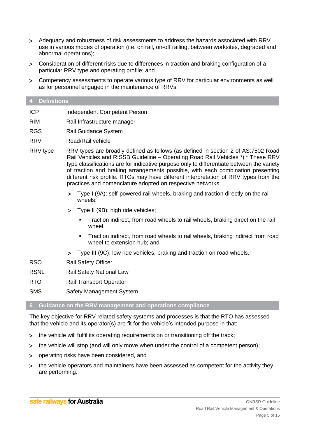- Adequacy and robustness of risk assessments to address the hazards associated with RRV use in various modes of operation (i.e. on rail, on-off railing, between worksites, degraded and abnormal operations);
- Consideration of different risks due to differences in traction and braking configuration of a particular RRV type and operating profile; and
- Competency assessments to operate various type of RRV for particular environments as well as for personnel engaged in the maintenance of RRVs.

#### <span id="page-4-0"></span>**4 Definitions**

| <b>ICP</b> | Independent Competent Person |
|------------|------------------------------|
|------------|------------------------------|

- RIM Rail Infrastructure manager
- RGS Rail Guidance System
- RRV Road/Rail vehicle
- RRV type RRV types are broadly defined as follows (as defined in section 2 of AS:7502 Road Rail Vehicles and RISSB Guideline – Operating Road Rail Vehicles \*) \* These RRV type classifications are for indicative purpose only to differentiate between the variety of traction and braking arrangements possible, with each combination presenting different risk profile. RTOs may have different interpretation of RRV types from the practices and nomenclature adopted on respective networks:
	- Type I (9A): self-powered rail wheels, braking and traction directly on the rail wheels;
	- > Type II (9B): high ride vehicles;
		- Traction indirect, from road wheels to rail wheels, braking direct on the rail wheel
		- Traction indirect, from road wheels to rail wheels, braking indirect from road wheel to extension hub; and
	- Type III (9C): low ride vehicles, braking and traction on road wheels.
- RSO Rail Safety Officer
- RSNL Rail Safety National Law
- RTO Rail Transport Operator
- SMS Safety Management System

#### <span id="page-4-1"></span>**5 Guidance on the RRV management and operations compliance**

The key objective for RRV related safety systems and processes is that the RTO has assessed that the vehicle and its operator(s) are fit for the vehicle's intended purpose in that:

- the vehicle will fulfil its operating requirements on or transitioning off the track;
- the vehicle will stop (and will only move when under the control of a competent person);
- operating risks have been considered, and
- the vehicle operators and maintainers have been assessed as competent for the activity they are performing.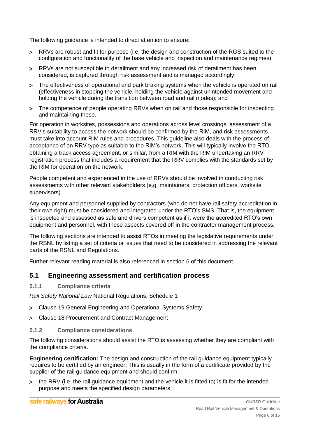The following guidance is intended to direct attention to ensure:

- RRVs are robust and fit for purpose (i.e. the design and construction of the RGS suited to the configuration and functionality of the base vehicle and inspection and maintenance regimes);
- RRVs are not susceptible to derailment and any increased risk of derailment has been considered, is captured through risk assessment and is managed accordingly;
- The effectiveness of operational and park braking systems when the vehicle is operated on rail (effectiveness in stopping the vehicle, holding the vehicle against unintended movement and holding the vehicle during the transition between road and rail modes); and
- The competence of people operating RRVs when on rail and those responsible for inspecting and maintaining these.

For operation in worksites, possessions and operations across level crossings, assessment of a RRV's suitability to access the network should be confirmed by the RIM, and risk assessments must take into account RIM rules and procedures. This guideline also deals with the process of acceptance of an RRV type as suitable to the RIM's network. This will typically involve the RTO obtaining a track access agreement, or similar, from a RIM with the RIM undertaking an RRV registration process that includes a requirement that the RRV complies with the standards set by the RIM for operation on the network.

People competent and experienced in the use of RRVs should be involved in conducting risk assessments with other relevant stakeholders (e.g. maintainers, protection officers, worksite supervisors).

Any equipment and personnel supplied by contractors (who do not have rail safety accreditation in their own right) must be considered and integrated under the RTO's SMS. That is, the equipment is inspected and assessed as safe and drivers competent as if it were the accredited RTO's own equipment and personnel, with these aspects covered off in the contractor management process.

The following sections are intended to assist RTOs in meeting the legislative requirements under the RSNL by listing a set of criteria or issues that need to be considered in addressing the relevant parts of the RSNL and Regulations.

Further relevant reading material is also referenced in section 6 of this document.

# <span id="page-5-0"></span>**5.1 Engineering assessment and certification process**

#### <span id="page-5-1"></span>**5.1.1 Compliance criteria**

*Rail Safety National Law* National Regulations, Schedule 1

- Clause 19 General Engineering and Operational Systems Safety
- Clause 18 Procurement and Contract Management

#### <span id="page-5-2"></span>**5.1.2 Compliance considerations**

The following considerations should assist the RTO is assessing whether they are compliant with the compliance criteria.

**Engineering certification:** The design and construction of the rail guidance equipment typically requires to be certified by an engineer. This is usually in the form of a certificate provided by the supplier of the rail guidance equipment and should confirm:

 the RRV (i.e. the rail guidance equipment and the vehicle it is fitted to) is fit for the intended purpose and meets the specified design parameters;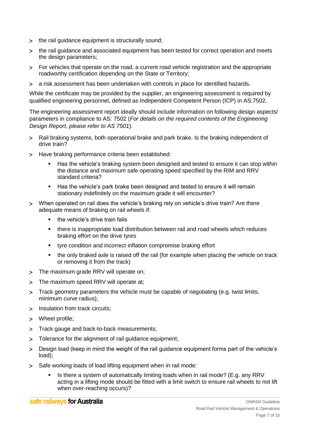- > the rail guidance equipment is structurally sound;
- the rail guidance and associated equipment has been tested for correct operation and meets the design parameters;
- For vehicles that operate on the road, a current road vehicle registration and the appropriate roadworthy certification depending on the State or Territory;
- a risk assessment has been undertaken with controls in place for identified hazards.

While the certificate may be provided by the supplier, an engineering assessment is required by qualified engineering personnel, defined as Independent Competent Person (ICP) in AS:7502.

The engineering assessment report ideally should include information on following design aspects/ parameters in compliance to AS: 7502 (*For details on the required contents of the Engineering Design Report, please refer to AS 7501*).

- Rail braking systems, both operational brake and park brake. Is the braking independent of drive train?
- > Have braking performance criteria been established:
	- Has the vehicle's braking system been designed and tested to ensure it can stop within the distance and maximum safe operating speed specified by the RIM and RRV standard criteria?
	- Has the vehicle's park brake been designed and tested to ensure it will remain stationary indefinitely on the maximum grade it will encounter?
- When operated on rail does the vehicle's braking rely on vehicle's drive train? Are there adequate means of braking on rail wheels if:
	- **the vehicle's drive train fails**
	- there is inappropriate load distribution between rail and road wheels which reduces braking effort on the drive tyres
	- tyre condition and incorrect inflation compromise braking effort
	- the only braked axle is raised off the rail (for example when placing the vehicle on track or removing it from the track)
- > The maximum grade RRV will operate on;
- > The maximum speed RRV will operate at;
- > Track geometry parameters the vehicle must be capable of negotiating (e.g. twist limits, minimum curve radius);
- > Insulation from track circuits;
- Wheel profile;
- > Track gauge and back-to-back measurements;
- Tolerance for the alignment of rail guidance equipment;
- Design load (keep in mind the weight of the rail guidance equipment forms part of the vehicle's load);
- Safe working loads of load lifting equipment when in rail mode:
	- Is there a system of automatically limiting loads when in rail mode? (E.g. any RRV acting in a lifting mode should be fitted with a limit switch to ensure rail wheels to not lift when over-reaching occurs)?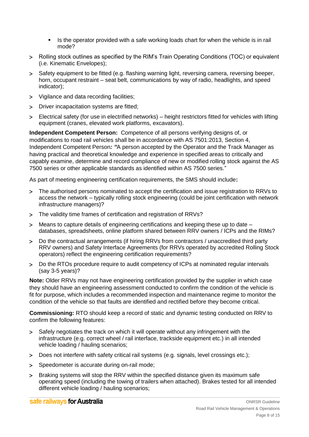- Is the operator provided with a safe working loads chart for when the vehicle is in rail mode?
- Rolling stock outlines as specified by the RIM's Train Operating Conditions (TOC) or equivalent (i.e. Kinematic Envelopes);
- Safety equipment to be fitted (e.g. flashing warning light, reversing camera, reversing beeper, horn, occupant restraint – seat belt, communications by way of radio, headlights, and speed indicator);
- Vigilance and data recording facilities;
- > Driver incapacitation systems are fitted;
- Electrical safety (for use in electrified networks) height restrictors fitted for vehicles with lifting equipment (cranes, elevated work platforms, excavators).

**Independent Competent Person:** Competence of all persons verifying designs of, or modifications to road rail vehicles shall be in accordance with AS 7501:2013, Section 4, Independent Competent Person*: "*A person accepted by the Operator and the Track Manager as having practical and theoretical knowledge and experience in specified areas to critically and capably examine, determine and record compliance of new or modified rolling stock against the AS 7500 series or other applicable standards as identified within AS 7500 series."

As part of meeting engineering certification requirements, the SMS should include**:**

- > The authorised persons nominated to accept the certification and issue registration to RRVs to access the network – typically rolling stock engineering (could be joint certification with network infrastructure managers)?
- The validity time frames of certification and registration of RRVs?
- Means to capture details of engineering certifications and keeping these up to date databases, spreadsheets, online platform shared between RRV owners / ICPs and the RIMs?
- Do the contractual arrangements (if hiring RRVs from contractors / unaccredited third party RRV owners) and Safety Interface Agreements (for RRVs operated by accredited Rolling Stock operators) reflect the engineering certification requirements?
- Do the RTOs procedure require to audit competency of ICPs at nominated regular intervals (say 3-5 years)?

**Note:** Older RRVs may not have engineering certification provided by the supplier in which case they should have an engineering assessment conducted to confirm the condition of the vehicle is fit for purpose, which includes a recommended inspection and maintenance regime to monitor the condition of the vehicle so that faults are identified and rectified before they become critical.

**Commissioning:** RTO should keep a record of static and dynamic testing conducted on RRV to confirm the following features:

- Safely negotiates the track on which it will operate without any infringement with the infrastructure (e.g. correct wheel / rail interface, trackside equipment etc.) in all intended vehicle loading / hauling scenarios;
- Does not interfere with safety critical rail systems (e.g. signals, level crossings etc.);
- > Speedometer is accurate during on-rail mode;
- > Braking systems will stop the RRV within the specified distance given its maximum safe operating speed (including the towing of trailers when attached). Brakes tested for all intended different vehicle loading / hauling scenarios;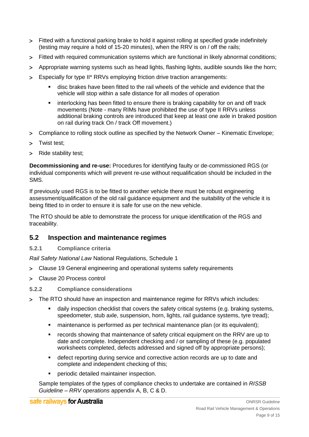- Fitted with a functional parking brake to hold it against rolling at specified grade indefinitely (testing may require a hold of 15-20 minutes), when the RRV is on / off the rails;
- Fitted with required communication systems which are functional in likely abnormal conditions;
- Appropriate warning systems such as head lights, flashing lights, audible sounds like the horn;
- Especially for type II\* RRVs employing friction drive traction arrangements:
	- disc brakes have been fitted to the rail wheels of the vehicle and evidence that the vehicle will stop within a safe distance for all modes of operation
	- **EXED** interlocking has been fitted to ensure there is braking capability for on and off track movements (Note - many RIMs have prohibited the use of type II RRVs unless additional braking controls are introduced that keep at least one axle in braked position on rail during track On / track Off movement.)
- Compliance to rolling stock outline as specified by the Network Owner Kinematic Envelope;
- > Twist test;
- > Ride stability test:

**Decommissioning and re-use:** Procedures for identifying faulty or de-commissioned RGS (or individual components which will prevent re-use without requalification should be included in the SMS.

If previously used RGS is to be fitted to another vehicle there must be robust engineering assessment/qualification of the old rail guidance equipment and the suitability of the vehicle it is being fitted to in order to ensure it is safe for use on the new vehicle.

The RTO should be able to demonstrate the process for unique identification of the RGS and traceability.

# <span id="page-8-0"></span>**5.2 Inspection and maintenance regimes**

<span id="page-8-1"></span>**5.2.1 Compliance criteria**

*Rail Safety National Law* National Regulations, Schedule 1

- Clause 19 General engineering and operational systems safety requirements
- Clause 20 Process control

## <span id="page-8-2"></span>**5.2.2 Compliance considerations**

- The RTO should have an inspection and maintenance regime for RRVs which includes:
	- daily inspection checklist that covers the safety critical systems (e.g. braking systems, speedometer, stub axle, suspension, horn, lights, rail guidance systems, tyre tread);
	- maintenance is performed as per technical maintenance plan (or its equivalent);
	- records showing that maintenance of safety critical equipment on the RRV are up to date and complete. Independent checking and / or sampling of these (e.g. populated worksheets completed, defects addressed and signed off by appropriate persons);
	- defect reporting during service and corrective action records are up to date and complete and independent checking of this;
	- periodic detailed maintainer inspection.

Sample templates of the types of compliance checks to undertake are contained in *RISSB Guideline – RRV operations* appendix A, B, C & D.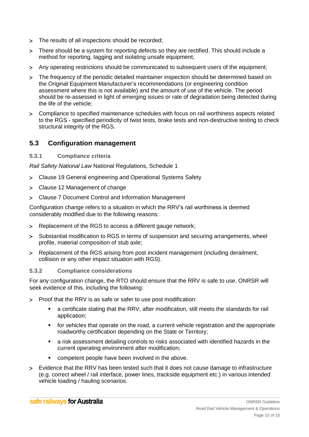- > The results of all inspections should be recorded;
- There should be a system for reporting defects so they are rectified. This should include a method for reporting, tagging and isolating unsafe equipment;
- Any operating restrictions should be communicated to subsequent users of the equipment;
- The frequency of the periodic detailed maintainer inspection should be determined based on the Original Equipment Manufacturer's recommendations (or engineering condition assessment where this is not available) and the amount of use of the vehicle. The period should be re-assessed in light of emerging issues or rate of degradation being detected during the life of the vehicle;
- Compliance to specified maintenance schedules with focus on rail worthiness aspects related to the RGS - specified periodicity of twist tests, brake tests and non-destructive testing to check structural integrity of the RGS.

# <span id="page-9-0"></span>**5.3 Configuration management**

<span id="page-9-1"></span>**5.3.1 Compliance criteria**

*Rail Safety National Law* National Regulations, Schedule 1

- Clause 19 General engineering and Operational Systems Safety
- Clause 12 Management of change
- Clause 7 Document Control and Information Management

Configuration change refers to a situation in which the RRV's rail worthiness is deemed considerably modified due to the following reasons:

- Replacement of the RGS to access a different gauge network;
- Substantial modification to RGS in terms of suspension and securing arrangements, wheel profile, material composition of stub axle;
- Replacement of the RGS arising from post incident management (including derailment, collision or any other impact situation with RGS).

## <span id="page-9-2"></span>**5.3.2 Compliance considerations**

For any configuration change, the RTO should ensure that the RRV is safe to use. ONRSR will seek evidence of this, including the following:

- Proof that the RRV is as safe or safer to use post modification:
	- a certificate stating that the RRV, after modification, still meets the standards for rail application;
	- for vehicles that operate on the road, a current vehicle registration and the appropriate roadworthy certification depending on the State or Territory;
	- a risk assessment detailing controls to risks associated with identified hazards in the current operating environment after modification;
	- competent people have been involved in the above.
- Evidence that the RRV has been tested such that it does not cause damage to infrastructure (e.g. correct wheel / rail interface, power lines, trackside equipment etc.) in various intended vehicle loading / hauling scenarios.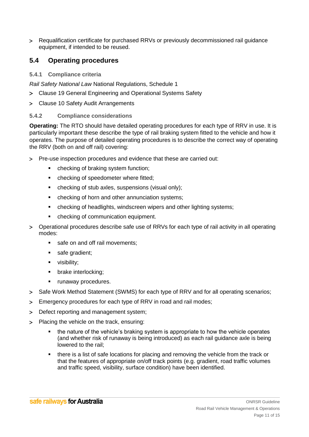Requalification certificate for purchased RRVs or previously decommissioned rail guidance equipment, if intended to be reused.

# <span id="page-10-0"></span>**5.4 Operating procedures**

<span id="page-10-1"></span>**5.4.1 Compliance criteria**

*Rail Safety National Law* National Regulations, Schedule 1

- Clause 19 General Engineering and Operational Systems Safety
- Clause 10 Safety Audit Arrangements

## <span id="page-10-2"></span>**5.4.2 Compliance considerations**

**Operating:** The RTO should have detailed operating procedures for each type of RRV in use. It is particularly important these describe the type of rail braking system fitted to the vehicle and how it operates. The purpose of detailed operating procedures is to describe the correct way of operating the RRV (both on and off rail) covering:

- Pre-use inspection procedures and evidence that these are carried out:
	- checking of braking system function;
	- **•** checking of speedometer where fitted:
	- checking of stub axles, suspensions (visual only);
	- checking of horn and other annunciation systems;
	- checking of headlights, windscreen wipers and other lighting systems;
	- checking of communication equipment.
- Operational procedures describe safe use of RRVs for each type of rail activity in all operating modes:
	- safe on and off rail movements;
	- safe gradient;
	- visibility;
	- brake interlocking;
	- **•** runaway procedures.
- > Safe Work Method Statement (SWMS) for each type of RRV and for all operating scenarios;
- Emergency procedures for each type of RRV in road and rail modes;
- > Defect reporting and management system;
- > Placing the vehicle on the track, ensuring:
	- the nature of the vehicle's braking system is appropriate to how the vehicle operates (and whether risk of runaway is being introduced) as each rail guidance axle is being lowered to the rail;
	- **there is a list of safe locations for placing and removing the vehicle from the track or** that the features of appropriate on/off track points (e.g. gradient, road traffic volumes and traffic speed, visibility, surface condition) have been identified.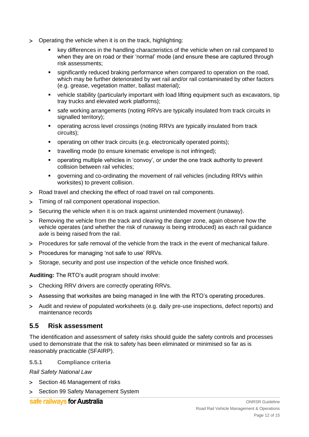- Operating the vehicle when it is on the track, highlighting:
	- key differences in the handling characteristics of the vehicle when on rail compared to when they are on road or their 'normal' mode (and ensure these are captured through risk assessments;
	- significantly reduced braking performance when compared to operation on the road, which may be further deteriorated by wet rail and/or rail contaminated by other factors (e.g. grease, vegetation matter, ballast material);
	- vehicle stability (particularly important with load lifting equipment such as excavators, tip tray trucks and elevated work platforms);
	- safe working arrangements (noting RRVs are typically insulated from track circuits in signalled territory);
	- operating across level crossings (noting RRVs are typically insulated from track circuits);
	- operating on other track circuits (e.g. electronically operated points);
	- travelling mode (to ensure kinematic envelope is not infringed);
	- operating multiple vehicles in 'convoy', or under the one track authority to prevent collision between rail vehicles;
	- governing and co-ordinating the movement of rail vehicles (including RRVs within worksites) to prevent collision.
- Road travel and checking the effect of road travel on rail components.
- Timing of rail component operational inspection.
- Securing the vehicle when it is on track against unintended movement (runaway).
- Removing the vehicle from the track and clearing the danger zone, again observe how the vehicle operates (and whether the risk of runaway is being introduced) as each rail guidance axle is being raised from the rail.
- Procedures for safe removal of the vehicle from the track in the event of mechanical failure.
- > Procedures for managing 'not safe to use' RRVs.
- Storage, security and post use inspection of the vehicle once finished work.

**Auditing:** The RTO's audit program should involve:

- Checking RRV drivers are correctly operating RRVs.
- Assessing that worksites are being managed in line with the RTO's operating procedures.
- Audit and review of populated worksheets (e.g. daily pre-use inspections, defect reports) and maintenance records

## <span id="page-11-0"></span>**5.5 Risk assessment**

The identification and assessment of safety risks should guide the safety controls and processes used to demonstrate that the risk to safety has been eliminated or minimised so far as is reasonably practicable (SFAIRP).

<span id="page-11-1"></span>**5.5.1 Compliance criteria**

*Rail Safety National Law*

- > Section 46 Management of risks
- > Section 99 Safety Management System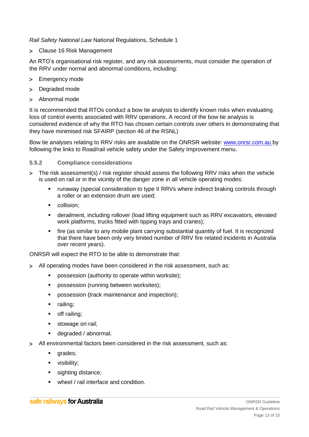## *Rail Safety National Law* National Regulations, Schedule 1

Clause 16 Risk Management

An RTO's organisational risk register, and any risk assessments, must consider the operation of the RRV under normal and abnormal conditions, including:

- > Emergency mode
- > Degraded mode
- Abnormal mode

It is recommended that RTOs conduct a bow tie analysis to identify known risks when evaluating loss of control events associated with RRV operations. A record of the bow tie analysis is considered evidence of why the RTO has chosen certain controls over others in demonstrating that they have minimised risk SFAIRP (section 46 of the RSNL)

Bow tie analyses relating to RRV risks are available on the ONRSR website: [www.onrsr.com.au](http://www.onrsr.com.au/) by following the links to Road/rail vehicle safety under the Safety Improvement menu.

## <span id="page-12-0"></span>**5.5.2 Compliance considerations**

- The risk assessment(s) / risk register should assess the following RRV risks when the vehicle is used on rail or in the vicinity of the danger zone in all vehicle operating modes:
	- runaway (special consideration to type II RRVs where indirect braking controls through a roller or an extension drum are used;
	- **collision:**
	- derailment, including rollover (load lifting equipment such as RRV excavators, elevated work platforms, trucks fitted with tipping trays and cranes);
	- fire (as similar to any mobile plant carrying substantial quantity of fuel. It is recognized that there have been only very limited number of RRV fire related incidents in Australia over recent years).

ONRSR will expect the RTO to be able to demonstrate that:

- All operating modes have been considered in the risk assessment, such as:
	- possession (authority to operate within worksite);
	- **Parable 20 sets** possession (running between worksites);
	- **Permions 1** possession (track maintenance and inspection);
	- **railing**:
	- **-** off railing;
	- stowage on rail;
	- degraded / abnormal.
- All environmental factors been considered in the risk assessment, such as:
	- **qrades**;
	- visibility;
	- sighting distance;
	- wheel / rail interface and condition.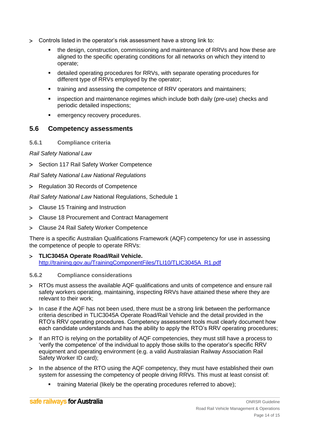- Controls listed in the operator's risk assessment have a strong link to:
	- the design, construction, commissioning and maintenance of RRVs and how these are aligned to the specific operating conditions for all networks on which they intend to operate;
	- detailed operating procedures for RRVs, with separate operating procedures for different type of RRVs employed by the operator;
	- training and assessing the competence of RRV operators and maintainers;
	- **EXEDER** inspection and maintenance regimes which include both daily (pre-use) checks and periodic detailed inspections;
	- emergency recovery procedures.

# <span id="page-13-0"></span>**5.6 Competency assessments**

<span id="page-13-1"></span>**5.6.1 Compliance criteria**

*Rail Safety National Law*

> Section 117 Rail Safety Worker Competence

*Rail* Safety *National Law National Regulations*

> Regulation 30 Records of Competence

*Rail Safety National Law* National Regulations, Schedule 1

- Clause 15 Training and Instruction
- Clause 18 Procurement and Contract Management
- Clause 24 Rail Safety Worker Competence

There is a specific Australian Qualifications Framework (AQF) competency for use in assessing the competence of people to operate RRVs:

 **TLIC3045A Operate Road/Rail Vehicle.**  [http://training.gov.au/TrainingComponentFiles/TLI10/TLIC3045A\\_R1.pdf](http://training.gov.au/TrainingComponentFiles/TLI10/TLIC3045A_R1.pdf)

#### <span id="page-13-2"></span>**5.6.2 Compliance considerations**

- RTOs must assess the available AQF qualifications and units of competence and ensure rail safety workers operating, maintaining, inspecting RRVs have attained these where they are relevant to their work;
- In case if the AQF has not been used, there must be a strong link between the performance criteria described in TLIC3045A Operate Road/Rail Vehicle and the detail provided in the RTO's RRV operating procedures. Competency assessment tools must clearly document how each candidate understands and has the ability to apply the RTO's RRV operating procedures;
- If an RTO is relying on the portability of AQF competencies, they must still have a process to 'verify the competence' of the individual to apply those skills to the operator's specific RRV equipment and operating environment (e.g. a valid Australasian Railway Association Rail Safety Worker ID card);
- In the absence of the RTO using the AQF competency, they must have established their own system for assessing the competency of people driving RRVs. This must at least consist of:
	- training Material (likely be the operating procedures referred to above);